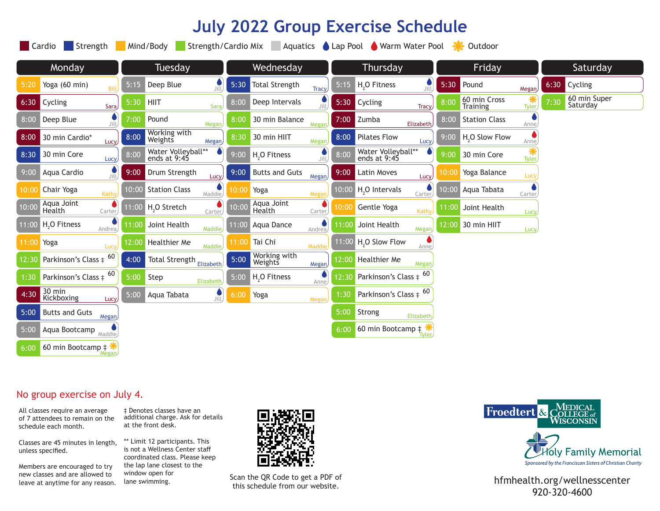# **July 2022 Group Exercise Schedule**

|        | Strength<br>Strength/Cardio Mix<br><b>Cardio</b><br>Mind/Body<br>Lap Pool Warm Water Pool<br>Aquatics<br>Outdoor |         |                                    |                      |       |                          |              |        |                                       |              |          |                                 |              |      |                          |  |
|--------|------------------------------------------------------------------------------------------------------------------|---------|------------------------------------|----------------------|-------|--------------------------|--------------|--------|---------------------------------------|--------------|----------|---------------------------------|--------------|------|--------------------------|--|
| Monday |                                                                                                                  | Tuesday |                                    | Wednesday            |       | Thursday                 |              | Friday |                                       |              | Saturday |                                 |              |      |                          |  |
| 5:20   | Yoga (60 min)<br>Bill                                                                                            | 5:15    | Deep Blue                          | پ<br>Jill            | 5:30  | <b>Total Strength</b>    | <b>Tracy</b> | 5:15   | H <sub>2</sub> O Fitness              | Jill         | 5:30     | Pound                           | <b>Megan</b> | 6:30 | Cycling                  |  |
| 6:30   | Cycling<br>Sara,                                                                                                 | 5:30    | <b>HIIT</b>                        | Sara                 | 8:00  | Deep Intervals           | Jill         |        | 5:30 Cycling                          | <b>Tracy</b> | 8:00     | 60 min Cross<br><b>Training</b> | <b>Tyler</b> | 7:30 | 60 min Super<br>Saturday |  |
| 8:00   | Deep Blue<br>Jill                                                                                                | 7:00    | Pound                              | Megan                | 8:00  | 30 min Balance           | Megar        | 7:00   | Zumba                                 | Elizabeth    | 8:00     | <b>Station Class</b>            | Anne,        |      |                          |  |
| 8:00   | 30 min Cardio*<br><b>Lucy</b>                                                                                    | 8:00    | Working with<br>Weights            | <b>Megan</b>         | 8:30  | 30 min HIIT              | Megan        | 8:00   | <b>Pilates Flow</b>                   | Lucy)        | 9:00     | H <sub>2</sub> O Slow Flow      | Anne,        |      |                          |  |
| 8:30   | 30 min Core<br>Lucy                                                                                              | 8:00    | Water Volleyball**<br>ends at 9:45 |                      | 9:00  | H <sub>2</sub> O Fitness | Jill)        | 8:00   | Water Volleyball**<br>ends at 9:45    |              | 9:00     | 30 min Core                     | Tyler        |      |                          |  |
| 9:00   | Aqua Cardio<br>Jill.                                                                                             | 9:00    | Drum Strength                      | Lucy,                | 9:00  | <b>Butts and Guts</b>    | Megan,       | 9:00   | Latin Moves                           | <b>Lucy</b>  | 10:00    | Yoga Balance                    | Lucy         |      |                          |  |
| 10:00  | Chair Yoga<br>Kathy                                                                                              | 10:00   | <b>Station Class</b>               | Maddie               | 10:00 | Yoga                     | Megar        | 10:00  | H <sub>,</sub> O Intervals            | Carter       | 10:00    | Aqua Tabata                     | Carter       |      |                          |  |
| 10:00  | Aqua Joint<br>Health<br>Carter                                                                                   | 11:00   | H <sub>2</sub> O Stretch           | Carter               | 10:00 | Aqua Joint<br>Health     | Carter       | 10:00  | Gentle Yoga                           | Kathy        | 11:00    | Joint Health                    | Lucy,        |      |                          |  |
|        | 11:00 H <sub>2</sub> O Fitness<br>Andrea,                                                                        | 11:00   | Joint Health                       | Maddie               | 11:00 | Aqua Dance               | Andrea,      | 1:00   | Joint Health                          | Megan        | 12:00    | 30 min HIIT                     | <b>Lucy</b>  |      |                          |  |
| 11:00  | Yoga<br>Lucy,                                                                                                    | 12:00   | Healthier Me                       | <b>Maddie</b>        | 11:00 | Tai Chi                  | Maddie       |        | $11:00$ H <sub>2</sub> O Slow Flow    | Anne         |          |                                 |              |      |                          |  |
| 12:30  | Parkinson's Class ‡                                                                                              | 4:00    | Total Strength Elizabeth           |                      | 5:00  | Working with<br>Weights  | Megan,       | 12:00  | Healthier Me                          | Megan        |          |                                 |              |      |                          |  |
| 1:30   | Parkinson's Class $\pm$ <sup>60</sup>                                                                            | 5:00    | Step                               | <b>Elizabeth</b>     | 5:00  | H <sub>2</sub> O Fitness | Anne         | 12:30  | Parkinson's Class $\pm$ 60            |              |          |                                 |              |      |                          |  |
| 4:30   | 30 min<br>Kickboxing<br>Lucy                                                                                     | 5:00    | Aqua Tabata                        | $\int_{\text{Jill}}$ | 6:00  | Yoga                     | Megan,       | 1:30   | Parkinson's Class $\pm$ <sup>60</sup> |              |          |                                 |              |      |                          |  |
| 5:00   | <b>Butts and Guts</b><br>Megan                                                                                   |         |                                    |                      |       |                          |              | 5:00   | Strong                                | Elizabeth    |          |                                 |              |      |                          |  |
| 5:00   | Aqua Bootcamp Maddie                                                                                             |         |                                    |                      |       |                          |              | 6:00   | 60 min Bootcamp $\pm$                 |              |          |                                 |              |      |                          |  |
| 6:00   | 60 min Bootcamp $\ddagger$                                                                                       |         |                                    |                      |       |                          |              |        |                                       |              |          |                                 |              |      |                          |  |

### No group exercise on July 4.

All classes require an average schedule each month.

Classes are 45 minutes in length, unless specified.

Members are encouraged to try new classes and are allowed to

of 7 attendees to remain on the additional charge. Ask for details ‡ Denotes classes have an at the front desk.

> \*\* Limit 12 participants. This is not a Wellness Center staff coordinated class. Please keep the lap lane closest to the window open for lane swimming.



Scan the QR Code to get a PDF of this schedule from our website.



Sponsored by the Franciscan Sisters of Christian Charity

new classes and are allowed to the whole which will be the Scan the QR Code to get a PDF of the area of the server at anytime for any reason. Using the swimming. 920-320-4600